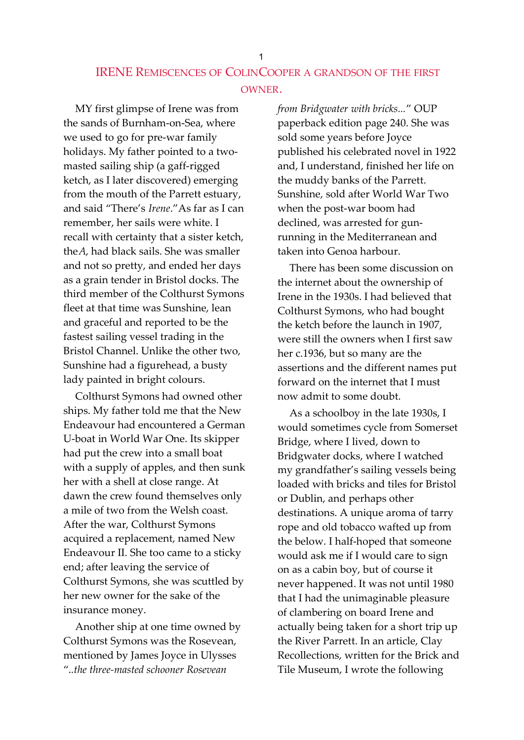## IRENE REMISCENCES OF COLINCOOPER A GRANDSON OF THE FIRST OWNER.

MY first glimpse of Irene was from the sands of Burnham-on-Sea, where we used to go for pre-war family holidays. My father pointed to a twomasted sailing ship (a gaff-rigged ketch, as I later discovered) emerging from the mouth of the Parrett estuary, and said "There's Irene."As far as I can remember, her sails were white. I recall with certainty that a sister ketch, theA, had black sails. She was smaller and not so pretty, and ended her days as a grain tender in Bristol docks. The third member of the Colthurst Symons fleet at that time was Sunshine, lean and graceful and reported to be the fastest sailing vessel trading in the Bristol Channel. Unlike the other two, Sunshine had a figurehead, a busty lady painted in bright colours.

Colthurst Symons had owned other ships. My father told me that the New Endeavour had encountered a German U-boat in World War One. Its skipper had put the crew into a small boat with a supply of apples, and then sunk her with a shell at close range. At dawn the crew found themselves only a mile of two from the Welsh coast. After the war, Colthurst Symons acquired a replacement, named New Endeavour II. She too came to a sticky end; after leaving the service of Colthurst Symons, she was scuttled by her new owner for the sake of the insurance money.

Another ship at one time owned by Colthurst Symons was the Rosevean, mentioned by James Joyce in Ulysses "..the three-masted schooner Rosevean

from Bridgwater with bricks..." OUP paperback edition page 240. She was sold some years before Joyce published his celebrated novel in 1922 and, I understand, finished her life on the muddy banks of the Parrett. Sunshine, sold after World War Two when the post-war boom had declined, was arrested for gunrunning in the Mediterranean and taken into Genoa harbour.

There has been some discussion on the internet about the ownership of Irene in the 1930s. I had believed that Colthurst Symons, who had bought the ketch before the launch in 1907, were still the owners when I first saw her c.1936, but so many are the assertions and the different names put forward on the internet that I must now admit to some doubt.

As a schoolboy in the late 1930s, I would sometimes cycle from Somerset Bridge, where I lived, down to Bridgwater docks, where I watched my grandfather's sailing vessels being loaded with bricks and tiles for Bristol or Dublin, and perhaps other destinations. A unique aroma of tarry rope and old tobacco wafted up from the below. I half-hoped that someone would ask me if I would care to sign on as a cabin boy, but of course it never happened. It was not until 1980 that I had the unimaginable pleasure of clambering on board Irene and actually being taken for a short trip up the River Parrett. In an article, Clay Recollections, written for the Brick and Tile Museum, I wrote the following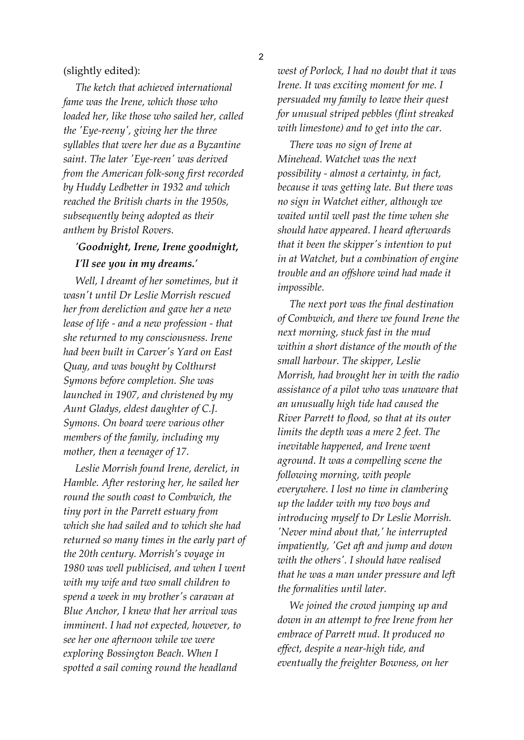## (slightly edited):

The ketch that achieved international fame was the Irene, which those who loaded her, like those who sailed her, called the 'Eye-reeny', giving her the three syllables that were her due as a Byzantine saint. The later 'Eye-reen' was derived from the American folk-song first recorded by Huddy Ledbetter in 1932 and which reached the British charts in the 1950s, subsequently being adopted as their anthem by Bristol Rovers.

## 'Goodnight, Irene, Irene goodnight, I'll see you in my dreams.'

Well, I dreamt of her sometimes, but it wasn't until Dr Leslie Morrish rescued her from dereliction and gave her a new lease of life - and a new profession - that she returned to my consciousness. Irene had been built in Carver's Yard on East Quay, and was bought by Colthurst Symons before completion. She was launched in 1907, and christened by my Aunt Gladys, eldest daughter of C.J. Symons. On board were various other members of the family, including my mother, then a teenager of 17.

Leslie Morrish found Irene, derelict, in Hamble. After restoring her, he sailed her round the south coast to Combwich, the tiny port in the Parrett estuary from which she had sailed and to which she had returned so many times in the early part of the 20th century. Morrish's voyage in 1980 was well publicised, and when I went with my wife and two small children to spend a week in my brother's caravan at Blue Anchor, I knew that her arrival was imminent. I had not expected, however, to see her one afternoon while we were exploring Bossington Beach. When I spotted a sail coming round the headland

west of Porlock, I had no doubt that it was Irene. It was exciting moment for me. I persuaded my family to leave their quest for unusual striped pebbles (flint streaked with limestone) and to get into the car.

There was no sign of Irene at Minehead. Watchet was the next possibility - almost a certainty, in fact, because it was getting late. But there was no sign in Watchet either, although we waited until well past the time when she should have appeared. I heard afterwards that it been the skipper's intention to put in at Watchet, but a combination of engine trouble and an offshore wind had made it impossible.

The next port was the final destination of Combwich, and there we found Irene the next morning, stuck fast in the mud within a short distance of the mouth of the small harbour. The skipper, Leslie Morrish, had brought her in with the radio assistance of a pilot who was unaware that an unusually high tide had caused the River Parrett to flood, so that at its outer limits the depth was a mere 2 feet. The inevitable happened, and Irene went aground. It was a compelling scene the following morning, with people everywhere. I lost no time in clambering up the ladder with my two boys and introducing myself to Dr Leslie Morrish. 'Never mind about that,' he interrupted impatiently, 'Get aft and jump and down with the others'. I should have realised that he was a man under pressure and left the formalities until later.

We joined the crowd jumping up and down in an attempt to free Irene from her embrace of Parrett mud. It produced no effect, despite a near-high tide, and eventually the freighter Bowness, on her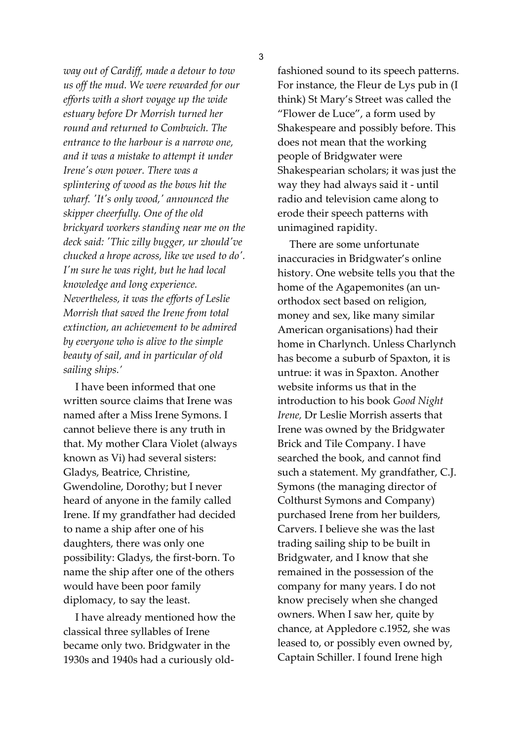3

way out of Cardiff, made a detour to tow us off the mud. We were rewarded for our efforts with a short voyage up the wide estuary before Dr Morrish turned her round and returned to Combwich. The entrance to the harbour is a narrow one, and it was a mistake to attempt it under Irene's own power. There was a splintering of wood as the bows hit the wharf. 'It's only wood,' announced the skipper cheerfully. One of the old brickyard workers standing near me on the deck said: 'Thic zilly bugger, ur zhould've chucked a hrope across, like we used to do'. I'm sure he was right, but he had local knowledge and long experience. Nevertheless, it was the efforts of Leslie Morrish that saved the Irene from total extinction, an achievement to be admired by everyone who is alive to the simple beauty of sail, and in particular of old sailing ships.'

I have been informed that one written source claims that Irene was named after a Miss Irene Symons. I cannot believe there is any truth in that. My mother Clara Violet (always known as Vi) had several sisters: Gladys, Beatrice, Christine, Gwendoline, Dorothy; but I never heard of anyone in the family called Irene. If my grandfather had decided to name a ship after one of his daughters, there was only one possibility: Gladys, the first-born. To name the ship after one of the others would have been poor family diplomacy, to say the least.

I have already mentioned how the classical three syllables of Irene became only two. Bridgwater in the 1930s and 1940s had a curiously oldfashioned sound to its speech patterns. For instance, the Fleur de Lys pub in (I think) St Mary's Street was called the "Flower de Luce", a form used by Shakespeare and possibly before. This does not mean that the working people of Bridgwater were Shakespearian scholars; it was just the way they had always said it - until radio and television came along to erode their speech patterns with unimagined rapidity.

There are some unfortunate inaccuracies in Bridgwater's online history. One website tells you that the home of the Agapemonites (an unorthodox sect based on religion, money and sex, like many similar American organisations) had their home in Charlynch. Unless Charlynch has become a suburb of Spaxton, it is untrue: it was in Spaxton. Another website informs us that in the introduction to his book Good Night Irene, Dr Leslie Morrish asserts that Irene was owned by the Bridgwater Brick and Tile Company. I have searched the book, and cannot find such a statement. My grandfather, C.J. Symons (the managing director of Colthurst Symons and Company) purchased Irene from her builders, Carvers. I believe she was the last trading sailing ship to be built in Bridgwater, and I know that she remained in the possession of the company for many years. I do not know precisely when she changed owners. When I saw her, quite by chance, at Appledore c.1952, she was leased to, or possibly even owned by, Captain Schiller. I found Irene high